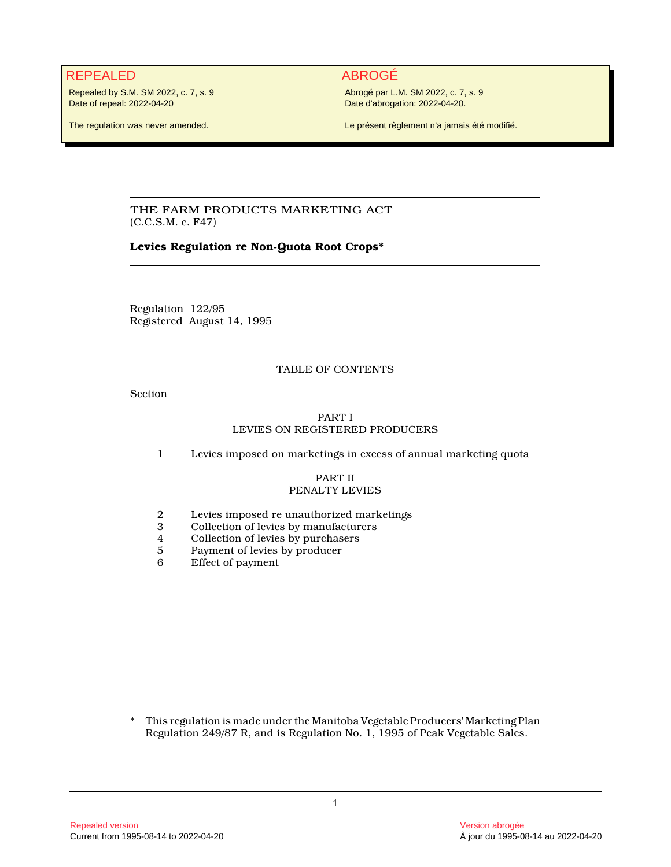# REPEALED ABROGÉ

Repealed by S.M. SM 2022, c. 7, s. 9 Date of repeal: 2022-04-20

Abrogé par L.M. SM 2022, c. 7, s. 9 Date d'abrogation: 2022-04-20.

The regulation was never amended.

Le présent règlement n'a jamais été modifié.

THE FARM PRODUCTS MARKETING ACT (C.C.S.M. c. F47)

# **Levies Regulation re Non-Quota Root Crops\***

Regulation 122/95 Registered August 14, 1995

# TABLE OF CONTENTS

Section

# PART I LEVIES ON REGISTERED PRODUCERS

1 Levies imposed on marketings in excess of annual marketing quota

#### PART II PENALTY LEVIES

- 2 Levies imposed re unauthorized marketings<br>3 Collection of levies by manufacturers
- 3 Collection of levies by manufacturers<br>4 Collection of levies by purchasers
- 4 Collection of levies by purchasers<br>5 Payment of levies by producer
- 5 Payment of levies by producer<br>6 Effect of payment
- Effect of payment

\* This regulation is made under the Manitoba Vegetable Producers' Marketing Plan Regulation 249/87 R, and is Regulation No. 1, 1995 of Peak Vegetable Sales.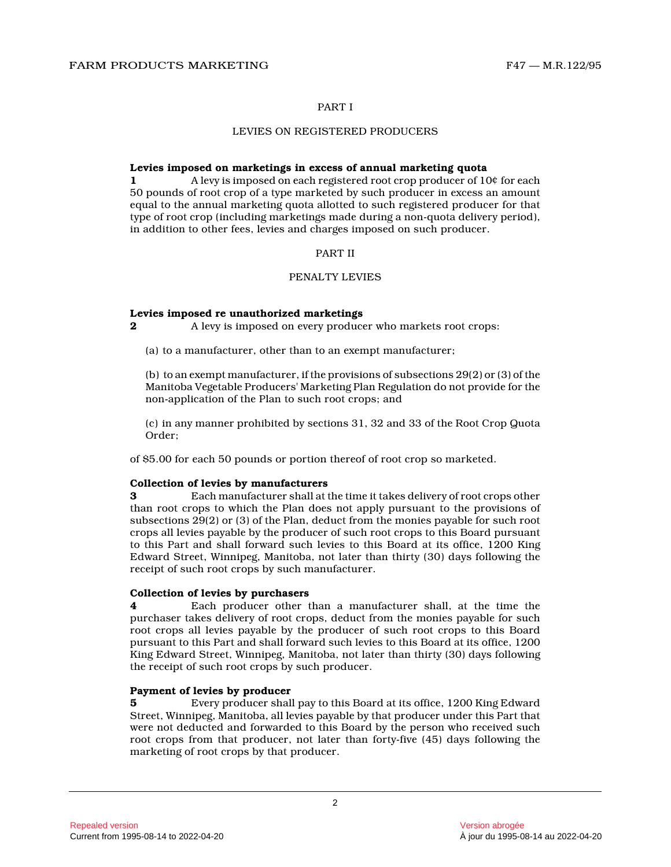# PART I

#### LEVIES ON REGISTERED PRODUCERS

#### **Levies imposed on marketings in excess of annual marketing quota**

**1** A levy is imposed on each registered root crop producer of 10¢ for each 50 pounds of root crop of a type marketed by such producer in excess an amount equal to the annual marketing quota allotted to such registered producer for that type of root crop (including marketings made during a non-quota delivery period), in addition to other fees, levies and charges imposed on such producer.

# PART II

# PENALTY LEVIES

#### **Levies imposed re unauthorized marketings**

**2** A levy is imposed on every producer who markets root crops:

(a) to a manufacturer, other than to an exempt manufacturer;

(b) to an exempt manufacturer, if the provisions of subsections 29(2) or (3) of the Manitoba Vegetable Producers' Marketing Plan Regulation do not provide for the non-application of the Plan to such root crops; and

(c) in any manner prohibited by sections 31, 32 and 33 of the Root Crop Quota Order;

of \$5.00 for each 50 pounds or portion thereof of root crop so marketed.

#### **Collection of levies by manufacturers**

**3** Each manufacturer shall at the time it takes delivery of root crops other than root crops to which the Plan does not apply pursuant to the provisions of subsections 29(2) or (3) of the Plan, deduct from the monies payable for such root crops all levies payable by the producer of such root crops to this Board pursuant to this Part and shall forward such levies to this Board at its office, 1200 King Edward Street, Winnipeg, Manitoba, not later than thirty (30) days following the receipt of such root crops by such manufacturer.

#### **Collection of levies by purchasers**

**4** Each producer other than a manufacturer shall, at the time the purchaser takes delivery of root crops, deduct from the monies payable for such root crops all levies payable by the producer of such root crops to this Board pursuant to this Part and shall forward such levies to this Board at its office, 1200 King Edward Street, Winnipeg, Manitoba, not later than thirty (30) days following the receipt of such root crops by such producer.

# **Payment of levies by producer**

**5** Every producer shall pay to this Board at its office, 1200 King Edward Street, Winnipeg, Manitoba, all levies payable by that producer under this Part that were not deducted and forwarded to this Board by the person who received such root crops from that producer, not later than forty-five (45) days following the marketing of root crops by that producer.